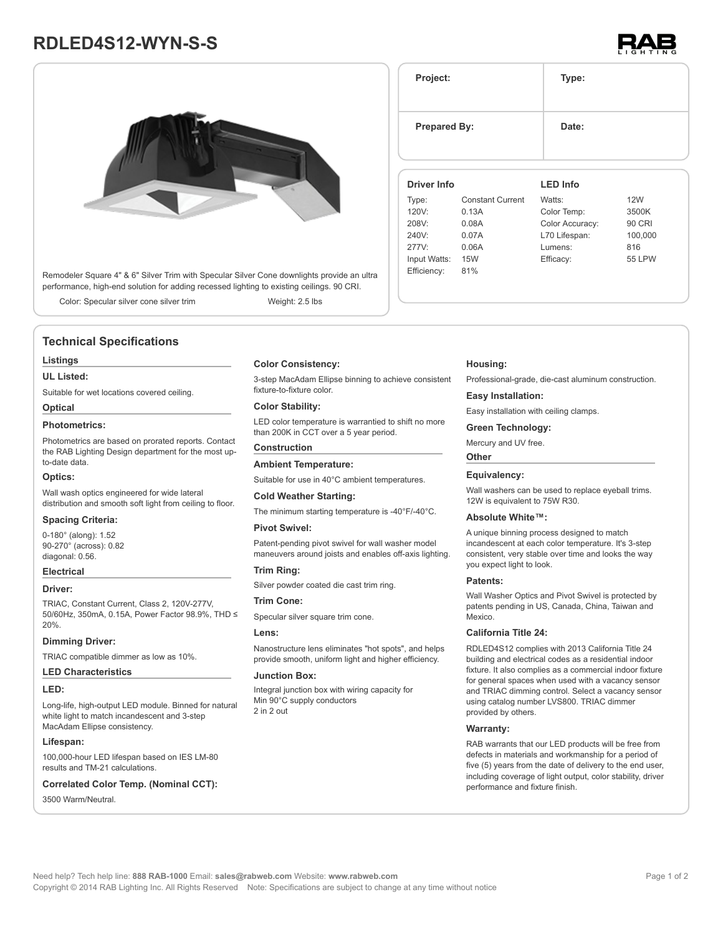# **RDLED4S12-WYN-S-S**



Remodeler Square 4" & 6" Silver Trim with Specular Silver Cone downlights provide an ultra performance, high-end solution for adding recessed lighting to existing ceilings. 90 CRI.

Color: Specular silver cone silver trim Weight: 2.5 lbs

# **Technical Specifications**

### **Listings**

**UL Listed:**

Suitable for wet locations covered ceiling.

# **Optical**

# **Photometrics:**

Photometrics are based on prorated reports. Contact the RAB Lighting Design department for the most upto-date data.

### **Optics:**

Wall wash optics engineered for wide lateral distribution and smooth soft light from ceiling to floor.

### **Spacing Criteria:**

0-180° (along): 1.52 90-270° (across): 0.82 diagonal: 0.56.

## **Electrical**

### **Driver:**

TRIAC, Constant Current, Class 2, 120V-277V, 50/60Hz, 350mA, 0.15A, Power Factor 98.9%, THD ≤ 20%.

### **Dimming Driver:**

TRIAC compatible dimmer as low as 10%.

### **LED Characteristics**

### **LED:**

Long-life, high-output LED module. Binned for natural white light to match incandescent and 3-step MacAdam Ellipse consistency.

# **Lifespan:**

100,000-hour LED lifespan based on IES LM-80 results and TM-21 calculations.

### **Correlated Color Temp. (Nominal CCT):**

3500 Warm/Neutral.

# **Color Consistency:**

3-step MacAdam Ellipse binning to achieve consistent fixture-to-fixture color.

## **Color Stability:**

LED color temperature is warrantied to shift no more than 200K in CCT over a 5 year period.

# **Construction**

Suitable for use in 40°C ambient temperatures.

### **Cold Weather Starting:**

**Ambient Temperature:**

The minimum starting temperature is -40°F/-40°C.

### **Pivot Swivel:**

Patent-pending pivot swivel for wall washer model maneuvers around joists and enables off-axis lighting.

## **Trim Ring:**

Silver powder coated die cast trim ring.

# **Trim Cone:**

Specular silver square trim cone.

# **Lens:**

Nanostructure lens eliminates "hot spots", and helps provide smooth, uniform light and higher efficiency.

# **Junction Box:**

Integral junction box with wiring capacity for Min 90°C supply conductors 2 in 2 out

# **Project: Type: Prepared By:** Date: **Driver Info** Type: Constant Current **LED Info** Watts: 12W

| 120V:        | 0.13A | Color Temp:     | 3500K   |
|--------------|-------|-----------------|---------|
| 208V:        | 0.08A | Color Accuracy: | 90 CRI  |
| 240V:        | 0.07A | L70 Lifespan:   | 100,000 |
| 277V:        | 0.06A | Lumens:         | 816     |
| Input Watts: | 15W   | Efficacy:       | 55 LPW  |
| Efficiency:  | 81%   |                 |         |
|              |       |                 |         |

# **Housing:**

Professional-grade, die-cast aluminum construction.

### **Easy Installation:**

Easy installation with ceiling clamps.

### **Green Technology:**

Mercury and UV free.

#### **Other**

### **Equivalency:**

Wall washers can be used to replace eveball trims. 12W is equivalent to 75W R30.

### **Absolute White™:**

A unique binning process designed to match incandescent at each color temperature. It's 3-step consistent, very stable over time and looks the way you expect light to look.

### **Patents:**

Wall Washer Optics and Pivot Swivel is protected by patents pending in US, Canada, China, Taiwan and Mexico.

# **California Title 24:**

RDLED4S12 complies with 2013 California Title 24 building and electrical codes as a residential indoor fixture. It also complies as a commercial indoor fixture for general spaces when used with a vacancy sensor and TRIAC dimming control. Select a vacancy sensor using catalog number LVS800. TRIAC dimmer provided by others.

# **Warranty:**

RAB warrants that our LED products will be free from defects in materials and workmanship for a period of five (5) years from the date of delivery to the end user, including coverage of light output, color stability, driver performance and fixture finish.